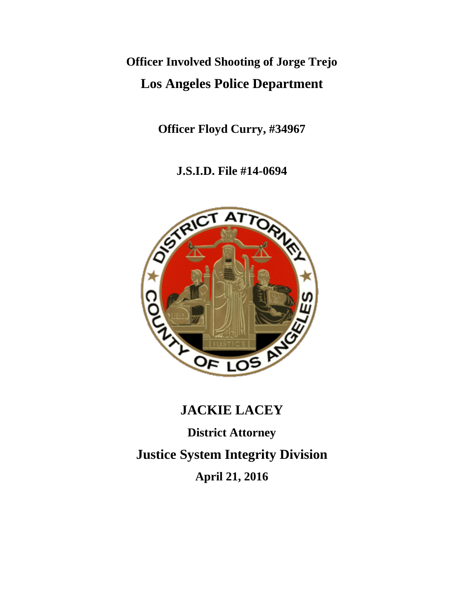# **Officer Involved Shooting of Jorge Trejo Los Angeles Police Department**

**Officer Floyd Curry, #34967** 

**J.S.I.D. File #14-0694**



# **JACKIE LACEY**

**District Attorney** 

**Justice System Integrity Division** 

**April 21, 2016**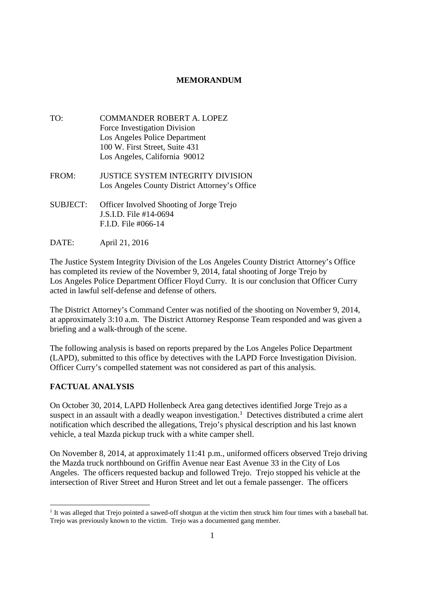## **MEMORANDUM**

- TO: COMMANDER ROBERT A. LOPEZ Force Investigation Division Los Angeles Police Department 100 W. First Street, Suite 431 Los Angeles, California 90012
- FROM: JUSTICE SYSTEM INTEGRITY DIVISION Los Angeles County District Attorney's Office
- SUBJECT: Officer Involved Shooting of Jorge Trejo J.S.I.D. File #14-0694 F.I.D. File #066-14
- DATE: April 21, 2016

The Justice System Integrity Division of the Los Angeles County District Attorney's Office has completed its review of the November 9, 2014, fatal shooting of Jorge Trejo by Los Angeles Police Department Officer Floyd Curry. It is our conclusion that Officer Curry acted in lawful self-defense and defense of others.

The District Attorney's Command Center was notified of the shooting on November 9, 2014, at approximately 3:10 a.m. The District Attorney Response Team responded and was given a briefing and a walk-through of the scene.

The following analysis is based on reports prepared by the Los Angeles Police Department (LAPD), submitted to this office by detectives with the LAPD Force Investigation Division. Officer Curry's compelled statement was not considered as part of this analysis.

# **FACTUAL ANALYSIS**

On October 30, 2014, LAPD Hollenbeck Area gang detectives identified Jorge Trejo as a suspect in an assault with a deadly weapon investigation.<sup>1</sup> Detectives distributed a crime alert notification which described the allegations, Trejo's physical description and his last known vehicle, a teal Mazda pickup truck with a white camper shell.

On November 8, 2014, at approximately 11:41 p.m., uniformed officers observed Trejo driving the Mazda truck northbound on Griffin Avenue near East Avenue 33 in the City of Los Angeles. The officers requested backup and followed Trejo. Trejo stopped his vehicle at the intersection of River Street and Huron Street and let out a female passenger. The officers

<sup>1</sup> It was alleged that Trejo pointed a sawed-off shotgun at the victim then struck him four times with a baseball bat. Trejo was previously known to the victim. Trejo was a documented gang member.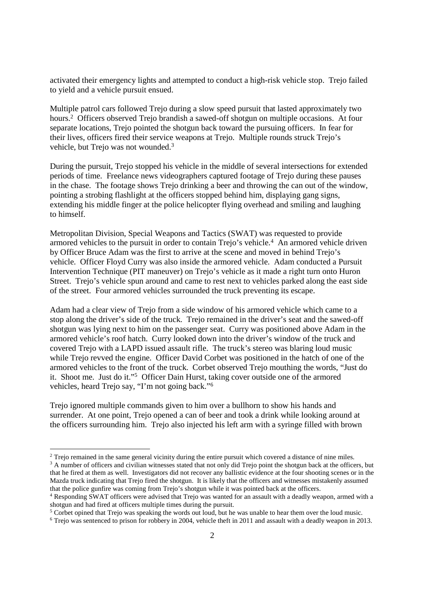activated their emergency lights and attempted to conduct a high-risk vehicle stop. Trejo failed to yield and a vehicle pursuit ensued.

Multiple patrol cars followed Trejo during a slow speed pursuit that lasted approximately two hours.<sup>2</sup> Officers observed Trejo brandish a sawed-off shotgun on multiple occasions. At four separate locations, Trejo pointed the shotgun back toward the pursuing officers. In fear for their lives, officers fired their service weapons at Trejo. Multiple rounds struck Trejo's vehicle, but Trejo was not wounded.<sup>3</sup>

During the pursuit, Trejo stopped his vehicle in the middle of several intersections for extended periods of time. Freelance news videographers captured footage of Trejo during these pauses in the chase. The footage shows Trejo drinking a beer and throwing the can out of the window, pointing a strobing flashlight at the officers stopped behind him, displaying gang signs, extending his middle finger at the police helicopter flying overhead and smiling and laughing to himself.

Metropolitan Division, Special Weapons and Tactics (SWAT) was requested to provide armored vehicles to the pursuit in order to contain Trejo's vehicle.<sup>4</sup> An armored vehicle driven by Officer Bruce Adam was the first to arrive at the scene and moved in behind Trejo's vehicle. Officer Floyd Curry was also inside the armored vehicle. Adam conducted a Pursuit Intervention Technique (PIT maneuver) on Trejo's vehicle as it made a right turn onto Huron Street. Trejo's vehicle spun around and came to rest next to vehicles parked along the east side of the street. Four armored vehicles surrounded the truck preventing its escape.

Adam had a clear view of Trejo from a side window of his armored vehicle which came to a stop along the driver's side of the truck. Trejo remained in the driver's seat and the sawed-off shotgun was lying next to him on the passenger seat. Curry was positioned above Adam in the armored vehicle's roof hatch. Curry looked down into the driver's window of the truck and covered Trejo with a LAPD issued assault rifle. The truck's stereo was blaring loud music while Trejo revved the engine. Officer David Corbet was positioned in the hatch of one of the armored vehicles to the front of the truck. Corbet observed Trejo mouthing the words, "Just do it. Shoot me. Just do it."<sup>5</sup> Officer Dain Hurst, taking cover outside one of the armored vehicles, heard Trejo say, "I'm not going back."<sup>6</sup>

Trejo ignored multiple commands given to him over a bullhorn to show his hands and surrender. At one point, Trejo opened a can of beer and took a drink while looking around at the officers surrounding him. Trejo also injected his left arm with a syringe filled with brown

<sup>&</sup>lt;sup>2</sup> Trejo remained in the same general vicinity during the entire pursuit which covered a distance of nine miles.

<sup>&</sup>lt;sup>3</sup> A number of officers and civilian witnesses stated that not only did Trejo point the shotgun back at the officers, but that he fired at them as well. Investigators did not recover any ballistic evidence at the four shooting scenes or in the Mazda truck indicating that Trejo fired the shotgun. It is likely that the officers and witnesses mistakenly assumed that the police gunfire was coming from Trejo's shotgun while it was pointed back at the officers.

<sup>4</sup> Responding SWAT officers were advised that Trejo was wanted for an assault with a deadly weapon, armed with a shotgun and had fired at officers multiple times during the pursuit.

<sup>&</sup>lt;sup>5</sup> Corbet opined that Trejo was speaking the words out loud, but he was unable to hear them over the loud music.

<sup>&</sup>lt;sup>6</sup> Trejo was sentenced to prison for robbery in 2004, vehicle theft in 2011 and assault with a deadly weapon in 2013.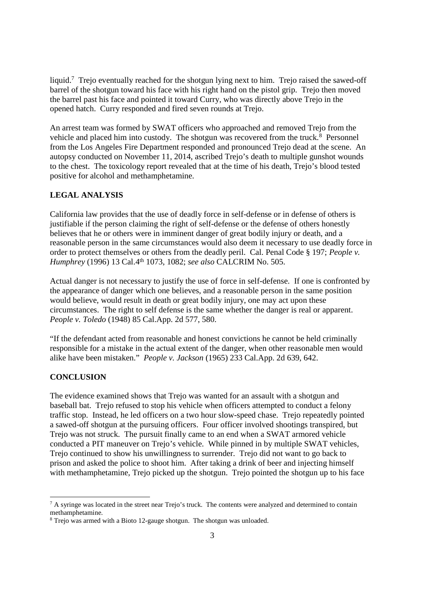liquid.<sup>7</sup> Trejo eventually reached for the shotgun lying next to him. Trejo raised the sawed-off barrel of the shotgun toward his face with his right hand on the pistol grip. Trejo then moved the barrel past his face and pointed it toward Curry, who was directly above Trejo in the opened hatch. Curry responded and fired seven rounds at Trejo.

An arrest team was formed by SWAT officers who approached and removed Trejo from the vehicle and placed him into custody. The shotgun was recovered from the truck.<sup>8</sup> Personnel from the Los Angeles Fire Department responded and pronounced Trejo dead at the scene. An autopsy conducted on November 11, 2014, ascribed Trejo's death to multiple gunshot wounds to the chest. The toxicology report revealed that at the time of his death, Trejo's blood tested positive for alcohol and methamphetamine.

### **LEGAL ANALYSIS**

California law provides that the use of deadly force in self-defense or in defense of others is justifiable if the person claiming the right of self-defense or the defense of others honestly believes that he or others were in imminent danger of great bodily injury or death, and a reasonable person in the same circumstances would also deem it necessary to use deadly force in order to protect themselves or others from the deadly peril. Cal. Penal Code § 197; *People v. Humphrey* (1996) 13 Cal.4th 1073, 1082; *see also* CALCRIM No. 505.

Actual danger is not necessary to justify the use of force in self-defense. If one is confronted by the appearance of danger which one believes, and a reasonable person in the same position would believe, would result in death or great bodily injury, one may act upon these circumstances. The right to self defense is the same whether the danger is real or apparent. *People v. Toledo* (1948) 85 Cal.App. 2d 577, 580.

"If the defendant acted from reasonable and honest convictions he cannot be held criminally responsible for a mistake in the actual extent of the danger, when other reasonable men would alike have been mistaken." *People v. Jackson* (1965) 233 Cal.App. 2d 639, 642.

### **CONCLUSION**

The evidence examined shows that Trejo was wanted for an assault with a shotgun and baseball bat. Trejo refused to stop his vehicle when officers attempted to conduct a felony traffic stop. Instead, he led officers on a two hour slow-speed chase. Trejo repeatedly pointed a sawed-off shotgun at the pursuing officers. Four officer involved shootings transpired, but Trejo was not struck. The pursuit finally came to an end when a SWAT armored vehicle conducted a PIT maneuver on Trejo's vehicle. While pinned in by multiple SWAT vehicles, Trejo continued to show his unwillingness to surrender. Trejo did not want to go back to prison and asked the police to shoot him. After taking a drink of beer and injecting himself with methamphetamine, Trejo picked up the shotgun. Trejo pointed the shotgun up to his face

 $7$  A syringe was located in the street near Trejo's truck. The contents were analyzed and determined to contain methamphetamine.

<sup>&</sup>lt;sup>8</sup> Trejo was armed with a Bioto 12-gauge shotgun. The shotgun was unloaded.